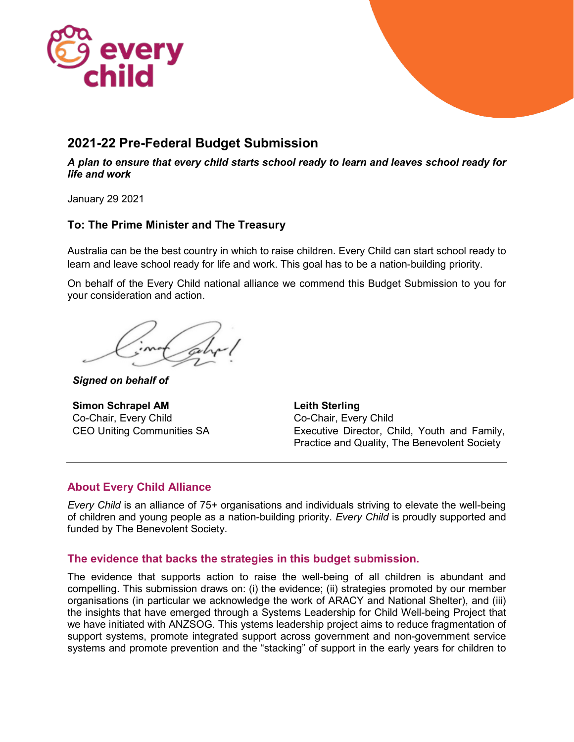

## **2021-22 Pre-Federal Budget Submission**

*A plan to ensure that every child starts school ready to learn and leaves school ready for life and work*

January 29 2021

## **To: The Prime Minister and The Treasury**

Australia can be the best country in which to raise children. Every Child can start school ready to learn and leave school ready for life and work. This goal has to be a nation-building priority.

On behalf of the Every Child national alliance we commend this Budget Submission to you for your consideration and action.

*Signed on behalf of*

**Simon Schrapel AM**  Co-Chair, Every Child CEO Uniting Communities SA **Leith Sterling** Co-Chair, Every Child Executive Director, Child, Youth and Family, Practice and Quality, The Benevolent Society

## **About Every Child Alliance**

*Every Child* is an alliance of 75+ organisations and individuals striving to elevate the well-being of children and young people as a nation-building priority. *Every Child* is proudly supported and funded by The Benevolent Society.

## **The evidence that backs the strategies in this budget submission.**

The evidence that supports action to raise the well-being of all children is abundant and compelling. This submission draws on: (i) the evidence; (ii) strategies promoted by our member organisations (in particular we acknowledge the work of ARACY and National Shelter), and (iii) the insights that have emerged through a Systems Leadership for Child Well-being Project that we have initiated with ANZSOG. This ystems leadership project aims to reduce fragmentation of support systems, promote integrated support across government and non-government service systems and promote prevention and the "stacking" of support in the early years for children to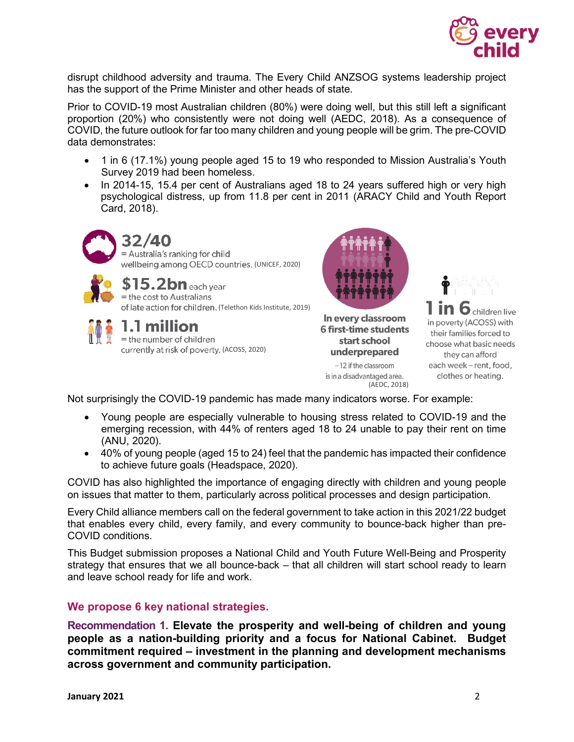

disrupt childhood adversity and trauma. The Every Child ANZSOG systems leadership project has the support of the Prime Minister and other heads of state.

Prior to COVID-19 most Australian children (80%) were doing well, but this still left a significant proportion (20%) who consistently were not doing well (AEDC, 2018). As a consequence of COVID, the future outlook for far too many children and young people will be grim. The pre-COVID data demonstrates:

- 1 in 6 (17.1%) young people aged 15 to 19 who responded to Mission Australia's Youth Survey 2019 had been homeless.
- In 2014-15, 15.4 per cent of Australians aged 18 to 24 years suffered high or very high psychological distress, up from 11.8 per cent in 2011 (ARACY Child and Youth Report Card, 2018).



of late action for children. (Telethon Kids Institute, 2019)



# 1.1 million

= the number of children currently at risk of poverty. (ACOSS, 2020)



In every classroom **6 first-time students** start school underprepared

-12 if the classroom is in a disadvantaged area. (AEDC, 2018)



C children live in poverty (ACOSS) with their families forced to choose what basic needs they can afford each week - rent, food, clothes or heating.

Not surprisingly the COVID-19 pandemic has made many indicators worse. For example:

- Young people are especially vulnerable to housing stress related to COVID-19 and the emerging recession, with 44% of renters aged 18 to 24 unable to pay their rent on time (ANU, 2020).
- 40% of young people (aged 15 to 24) feel that the pandemic has impacted their confidence to achieve future goals (Headspace, 2020).

COVID has also highlighted the importance of engaging directly with children and young people on issues that matter to them, particularly across political processes and design participation.

Every Child alliance members call on the federal government to take action in this 2021/22 budget that enables every child, every family, and every community to bounce-back higher than pre-COVID conditions.

This Budget submission proposes a National Child and Youth Future Well-Being and Prosperity strategy that ensures that we all bounce-back – that all children will start school ready to learn and leave school ready for life and work.

## **We propose 6 key national strategies.**

**Recommendation 1. Elevate the prosperity and well-being of children and young people as a nation-building priority and a focus for National Cabinet. Budget commitment required – investment in the planning and development mechanisms across government and community participation.**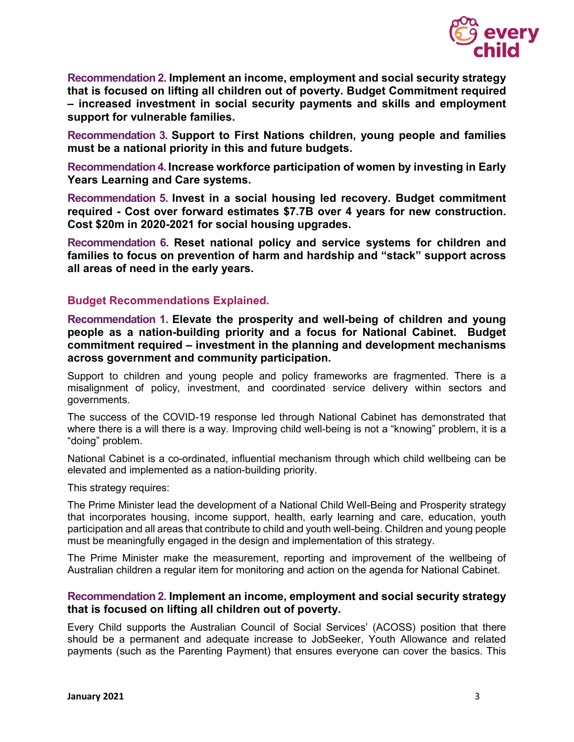

**Recommendation 2. Implement an income, employment and social security strategy that is focused on lifting all children out of poverty. Budget Commitment required – increased investment in social security payments and skills and employment support for vulnerable families.**

**Recommendation 3. Support to First Nations children, young people and families must be a national priority in this and future budgets.**

**Recommendation 4. Increase workforce participation of women by investing in Early Years Learning and Care systems.** 

**Recommendation 5. Invest in a social housing led recovery. Budget commitment required - Cost over forward estimates \$7.7B over 4 years for new construction. Cost \$20m in 2020-2021 for social housing upgrades.**

**Recommendation 6. Reset national policy and service systems for children and families to focus on prevention of harm and hardship and "stack" support across all areas of need in the early years.**

#### **Budget Recommendations Explained.**

**Recommendation 1. Elevate the prosperity and well-being of children and young people as a nation-building priority and a focus for National Cabinet. Budget commitment required – investment in the planning and development mechanisms across government and community participation.**

Support to children and young people and policy frameworks are fragmented. There is a misalignment of policy, investment, and coordinated service delivery within sectors and governments.

The success of the COVID-19 response led through National Cabinet has demonstrated that where there is a will there is a way. Improving child well-being is not a "knowing" problem, it is a "doing" problem.

National Cabinet is a co-ordinated, influential mechanism through which child wellbeing can be elevated and implemented as a nation-building priority.

This strategy requires:

The Prime Minister lead the development of a National Child Well-Being and Prosperity strategy that incorporates housing, income support, health, early learning and care, education, youth participation and all areas that contribute to child and youth well-being. Children and young people must be meaningfully engaged in the design and implementation of this strategy.

The Prime Minister make the measurement, reporting and improvement of the wellbeing of Australian children a regular item for monitoring and action on the agenda for National Cabinet.

#### **Recommendation 2. Implement an income, employment and social security strategy that is focused on lifting all children out of poverty.**

Every Child supports the Australian Council of Social Services' (ACOSS) position that there should be a permanent and adequate increase to JobSeeker, Youth Allowance and related payments (such as the Parenting Payment) that ensures everyone can cover the basics. This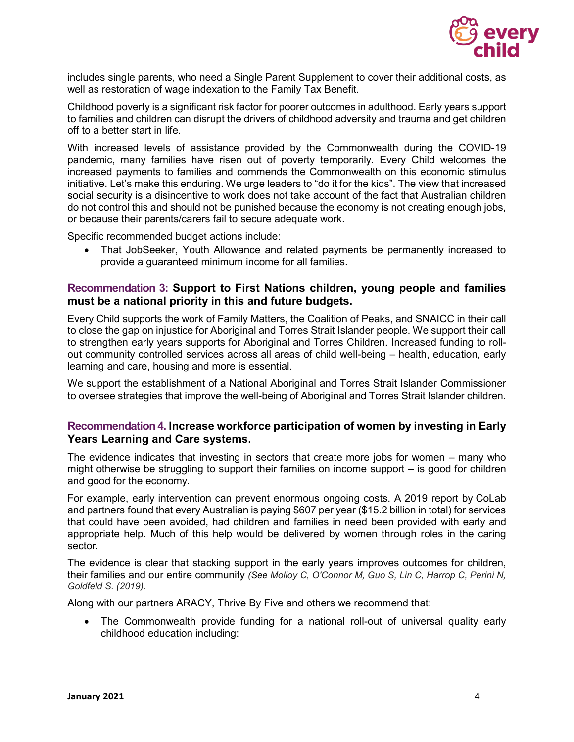

includes single parents, who need a Single Parent Supplement to cover their additional costs, as well as restoration of wage indexation to the Family Tax Benefit.

Childhood poverty is a significant risk factor for poorer outcomes in adulthood. Early years support to families and children can disrupt the drivers of childhood adversity and trauma and get children off to a better start in life.

With increased levels of assistance provided by the Commonwealth during the COVID-19 pandemic, many families have risen out of poverty temporarily. Every Child welcomes the increased payments to families and commends the Commonwealth on this economic stimulus initiative. Let's make this enduring. We urge leaders to "do it for the kids". The view that increased social security is a disincentive to work does not take account of the fact that Australian children do not control this and should not be punished because the economy is not creating enough jobs, or because their parents/carers fail to secure adequate work.

Specific recommended budget actions include:

• That JobSeeker, Youth Allowance and related payments be permanently increased to provide a guaranteed minimum income for all families.

#### **Recommendation 3: Support to First Nations children, young people and families must be a national priority in this and future budgets.**

Every Child supports the work of Family Matters, the Coalition of Peaks, and SNAICC in their call to close the gap on injustice for Aboriginal and Torres Strait Islander people. We support their call to strengthen early years supports for Aboriginal and Torres Children. Increased funding to rollout community controlled services across all areas of child well-being – health, education, early learning and care, housing and more is essential.

We support the establishment of a National Aboriginal and Torres Strait Islander Commissioner to oversee strategies that improve the well-being of Aboriginal and Torres Strait Islander children.

#### **Recommendation 4. Increase workforce participation of women by investing in Early Years Learning and Care systems.**

The evidence indicates that investing in sectors that create more jobs for women – many who might otherwise be struggling to support their families on income support – is good for children and good for the economy.

For example, early intervention can prevent enormous ongoing costs. A 2019 report by CoLab and partners found that every Australian is paying \$607 per year (\$15.2 billion in total) for services that could have been avoided, had children and families in need been provided with early and appropriate help. Much of this help would be delivered by women through roles in the caring sector.

The evidence is clear that stacking support in the early years improves outcomes for children, their families and our entire community *(See Molloy C, O'Connor M, Guo S, Lin C, Harrop C, Perini N, Goldfeld S. (2019).*

Along with our partners ARACY, Thrive By Five and others we recommend that:

• The Commonwealth provide funding for a national roll-out of universal quality early childhood education including: